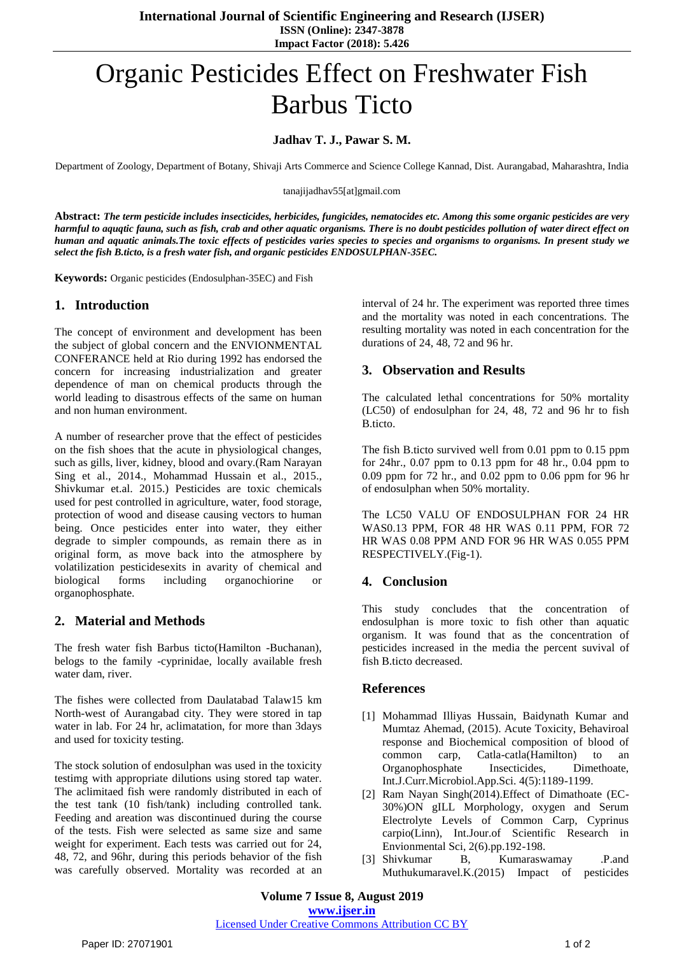**International Journal of Scientific Engineering and Research (IJSER) ISSN (Online): 2347-3878 Impact Factor (2018): 5.426**

# Organic Pesticides Effect on Freshwater Fish Barbus Ticto

## **Jadhav T. J., Pawar S. M.**

Department of Zoology, Department of Botany, Shivaji Arts Commerce and Science College Kannad, Dist. Aurangabad, Maharashtra, India

tanajijadhav55[at]gmail.com

**Abstract:** *The term pesticide includes insecticides, herbicides, fungicides, nematocides etc. Among this some organic pesticides are very harmful to aquqtic fauna, such as fish, crab and other aquatic organisms. There is no doubt pesticides pollution of water direct effect on human and aquatic animals.The toxic effects of pesticides varies species to species and organisms to organisms. In present study we select the fish B.ticto, is a fresh water fish, and organic pesticides ENDOSULPHAN-35EC.*

**Keywords:** Organic pesticides (Endosulphan-35EC) and Fish

### **1. Introduction**

The concept of environment and development has been the subject of global concern and the ENVIONMENTAL CONFERANCE held at Rio during 1992 has endorsed the concern for increasing industrialization and greater dependence of man on chemical products through the world leading to disastrous effects of the same on human and non human environment.

A number of researcher prove that the effect of pesticides on the fish shoes that the acute in physiological changes, such as gills, liver, kidney, blood and ovary.(Ram Narayan Sing et al., 2014., Mohammad Hussain et al., 2015., Shivkumar et.al. 2015.) Pesticides are toxic chemicals used for pest controlled in agriculture, water, food storage, protection of wood and disease causing vectors to human being. Once pesticides enter into water, they either degrade to simpler compounds, as remain there as in original form, as move back into the atmosphere by volatilization pesticidesexits in avarity of chemical and biological forms including organochiorine or organophosphate.

### **2. Material and Methods**

The fresh water fish Barbus ticto(Hamilton -Buchanan), belogs to the family -cyprinidae, locally available fresh water dam, river.

The fishes were collected from Daulatabad Talaw15 km North-west of Aurangabad city. They were stored in tap water in lab. For 24 hr, aclimatation, for more than 3days and used for toxicity testing.

The stock solution of endosulphan was used in the toxicity testimg with appropriate dilutions using stored tap water. The aclimitaed fish were randomly distributed in each of the test tank (10 fish/tank) including controlled tank. Feeding and areation was discontinued during the course of the tests. Fish were selected as same size and same weight for experiment. Each tests was carried out for 24, 48, 72, and 96hr, during this periods behavior of the fish was carefully observed. Mortality was recorded at an interval of 24 hr. The experiment was reported three times and the mortality was noted in each concentrations. The resulting mortality was noted in each concentration for the durations of 24, 48, 72 and 96 hr.

# **3. Observation and Results**

The calculated lethal concentrations for 50% mortality (LC50) of endosulphan for 24, 48, 72 and 96 hr to fish B.ticto.

The fish B.ticto survived well from 0.01 ppm to 0.15 ppm for 24hr., 0.07 ppm to 0.13 ppm for 48 hr., 0.04 ppm to 0.09 ppm for 72 hr., and 0.02 ppm to 0.06 ppm for 96 hr of endosulphan when 50% mortality.

The LC50 VALU OF ENDOSULPHAN FOR 24 HR WAS0.13 PPM, FOR 48 HR WAS 0.11 PPM, FOR 72 HR WAS 0.08 PPM AND FOR 96 HR WAS 0.055 PPM RESPECTIVELY.(Fig-1).

### **4. Conclusion**

This study concludes that the concentration of endosulphan is more toxic to fish other than aquatic organism. It was found that as the concentration of pesticides increased in the media the percent suvival of fish B.ticto decreased.

#### **References**

- [1] Mohammad Illiyas Hussain, Baidynath Kumar and Mumtaz Ahemad, (2015). Acute Toxicity, Behaviroal response and Biochemical composition of blood of common carp, Catla-catla(Hamilton) to an Organophosphate Insecticides, Dimethoate, Int.J.Curr.Microbiol.App.Sci. 4(5):1189-1199.
- [2] Ram Nayan Singh(2014).Effect of Dimathoate (EC-30%)ON gILL Morphology, oxygen and Serum Electrolyte Levels of Common Carp, Cyprinus carpio(Linn), Int.Jour.of Scientific Research in Envionmental Sci, 2(6).pp.192-198.
- [3] Shivkumar B, Kumaraswamay .P.and Muthukumaravel.K.(2015) Impact of pesticides

**Volume 7 Issue 8, August 2019 www.ijser.in** Licensed Under Creative Commons Attribution CC BY